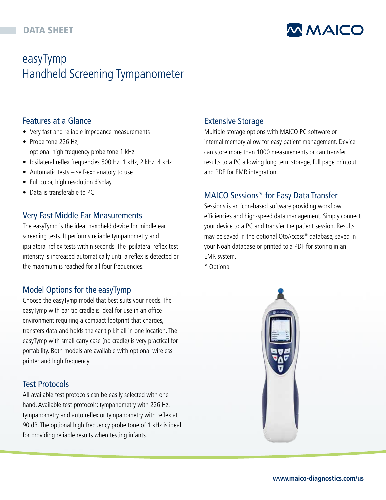# DATA SHEET

# **MMAICO**

# easyTymp Handheld Screening Tympanometer

# Features at a Glance

- Very fast and reliable impedance measurements
- Probe tone 226 Hz, optional high frequency probe tone 1 kHz
- Ipsilateral reflex frequencies 500 Hz, 1 kHz, 2 kHz, 4 kHz
- Automatic tests self-explanatory to use
- Full color, high resolution display
- Data is transferable to PC

## Very Fast Middle Ear Measurements

The easyTymp is the ideal handheld device for middle ear screening tests. It performs reliable tympanometry and ipsilateral reflex tests within seconds. The ipsilateral reflex test intensity is increased automatically until a reflex is detected or the maximum is reached for all four frequencies.

## Model Options for the easyTymp

Choose the easyTymp model that best suits your needs. The easyTymp with ear tip cradle is ideal for use in an office environment requiring a compact footprint that charges, transfers data and holds the ear tip kit all in one location. The easyTymp with small carry case (no cradle) is very practical for portability. Both models are available with optional wireless printer and high frequency.

## Test Protocols

All available test protocols can be easily selected with one hand. Available test protocols: tympanometry with 226 Hz, tympanometry and auto reflex or tympanometry with reflex at 90 dB. The optional high frequency probe tone of 1 kHz is ideal for providing reliable results when testing infants.

## Extensive Storage

Multiple storage options with MAICO PC software or internal memory allow for easy patient management. Device can store more than 1000 measurements or can transfer results to a PC allowing long term storage, full page printout and PDF for EMR integration.

# MAICO Sessions\* for Easy Data Transfer

Sessions is an icon-based software providing workflow efficiencies and high-speed data management. Simply connect your device to a PC and transfer the patient session. Results may be saved in the optional OtoAccess® database, saved in your Noah database or printed to a PDF for storing in an EMR system.

\* Optional